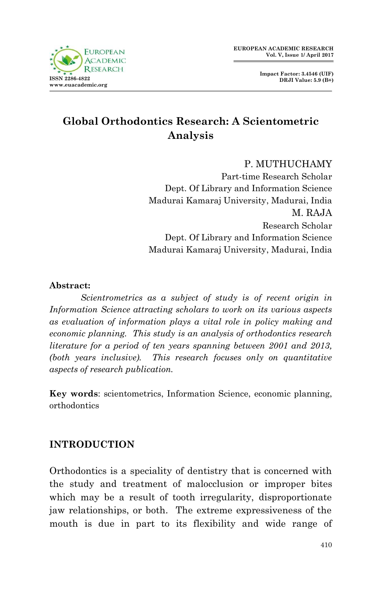

**Impact Factor: 3.4546 (UIF) DRJI Value: 5.9 (B+)**

# **Global Orthodontics Research: A Scientometric Analysis**

### P. MUTHUCHAMY

Part-time Research Scholar Dept. Of Library and Information Science Madurai Kamaraj University, Madurai, India M. RAJA Research Scholar Dept. Of Library and Information Science Madurai Kamaraj University, Madurai, India

#### **Abstract:**

*Scientrometrics as a subject of study is of recent origin in Information Science attracting scholars to work on its various aspects as evaluation of information plays a vital role in policy making and economic planning. This study is an analysis of orthodontics research literature for a period of ten years spanning between 2001 and 2013, (both years inclusive). This research focuses only on quantitative aspects of research publication.* 

**Key words**: scientometrics, Information Science, economic planning, orthodontics

## **INTRODUCTION**

Orthodontics is a speciality of dentistry that is concerned with the study and treatment of malocclusion or improper bites which may be a result of tooth irregularity, disproportionate jaw relationships, or both. The extreme expressiveness of the mouth is due in part to its flexibility and wide range of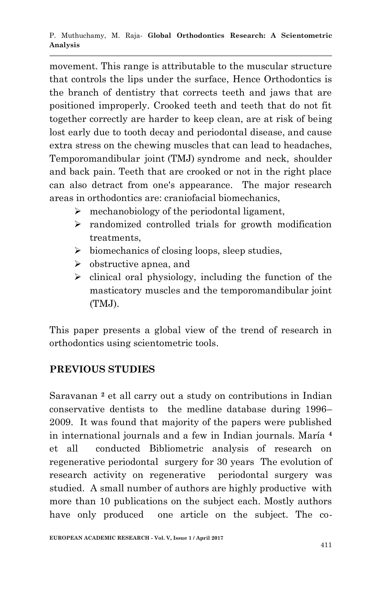movement. This range is attributable to the muscular structure that controls the lips under the surface, Hence Orthodontics is the branch of dentistry that corrects teeth and jaws that are positioned improperly. Crooked teeth and teeth that do not fit together correctly are harder to keep clean, are at risk of being lost early due to tooth decay and periodontal disease, and cause extra stress on the chewing muscles that can lead to headaches, Temporomandibular joint (TMJ) syndrome and neck, shoulder and back pain. Teeth that are crooked or not in the right place can also detract from one's appearance. The major research areas in orthodontics are: craniofacial biomechanics,

- $\triangleright$  mechanobiology of the periodontal ligament,
- $\triangleright$  randomized controlled trials for growth modification treatments,
- $\triangleright$  biomechanics of closing loops, sleep studies,
- $\triangleright$  obstructive apnea, and
- $\triangleright$  clinical oral physiology, including the function of the masticatory muscles and the temporomandibular joint (TMJ).

This paper presents a global view of the trend of research in orthodontics using scientometric tools.

# **PREVIOUS STUDIES**

Saravanan **<sup>2</sup>** et all carry out a study on contributions in Indian conservative dentists to the medline database during 1996– 2009. It was found that majority of the papers were published in international journals and a few in Indian journals. María **<sup>4</sup>** et all conducted Bibliometric analysis of research on regenerative periodontal surgery for 30 years The evolution of research activity on regenerative periodontal surgery was studied. A small number of authors are highly productive with more than 10 publications on the subject each. Mostly authors have only produced one article on the subject. The co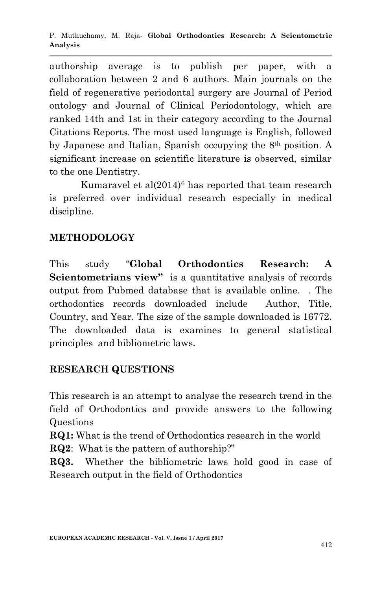authorship average is to publish per paper, with a collaboration between 2 and 6 authors. Main journals on the field of regenerative periodontal surgery are Journal of Period ontology and Journal of Clinical Periodontology, which are ranked 14th and 1st in their category according to the Journal Citations Reports. The most used language is English, followed by Japanese and Italian, Spanish occupying the 8th position. A significant increase on scientific literature is observed, similar to the one Dentistry.

Kumaravel et al(2014)<sup>6</sup> has reported that team research is preferred over individual research especially in medical discipline.

# **METHODOLOGY**

This study "**Global Orthodontics Research: A Scientometrians view"** is a quantitative analysis of records output from Pubmed database that is available online. . The orthodontics records downloaded include Author, Title, Country, and Year. The size of the sample downloaded is 16772. The downloaded data is examines to general statistical principles and bibliometric laws.

# **RESEARCH QUESTIONS**

This research is an attempt to analyse the research trend in the field of Orthodontics and provide answers to the following Questions

**RQ1:** What is the trend of Orthodontics research in the world

**RQ2**: What is the pattern of authorship?"

**RQ3.** Whether the bibliometric laws hold good in case of Research output in the field of Orthodontics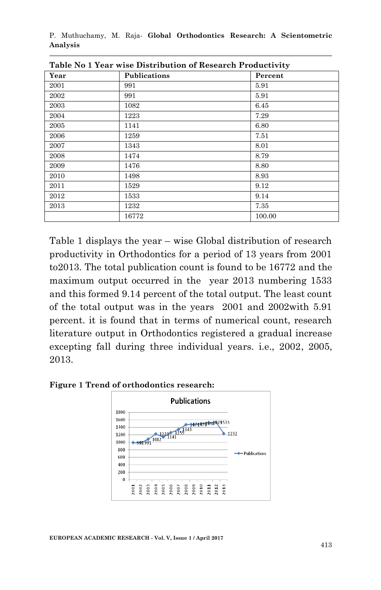P. Muthuchamy, M. Raja*-* **Global Orthodontics Research: A Scientometric Analysis**

| Year | Publications | Percent |
|------|--------------|---------|
| 2001 | 991          | 5.91    |
| 2002 | 991          | 5.91    |
| 2003 | 1082         | 6.45    |
| 2004 | 1223         | 7.29    |
| 2005 | 1141         | 6.80    |
| 2006 | 1259         | 7.51    |
| 2007 | 1343         | 8.01    |
| 2008 | 1474         | 8.79    |
| 2009 | 1476         | 8.80    |
| 2010 | 1498         | 8.93    |
| 2011 | 1529         | 9.12    |
| 2012 | 1533         | 9.14    |
| 2013 | 1232         | 7.35    |
|      | 16772        | 100.00  |

**Table No 1 Year wise Distribution of Research Productivity** 

Table 1 displays the year – wise Global distribution of research productivity in Orthodontics for a period of 13 years from 2001 to2013. The total publication count is found to be 16772 and the maximum output occurred in the year 2013 numbering 1533 and this formed 9.14 percent of the total output. The least count of the total output was in the years 2001 and 2002with 5.91 percent. it is found that in terms of numerical count, research literature output in Orthodontics registered a gradual increase excepting fall during three individual years. i.e., 2002, 2005, 2013.





**EUROPEAN ACADEMIC RESEARCH - Vol. V, Issue 1 / April 2017**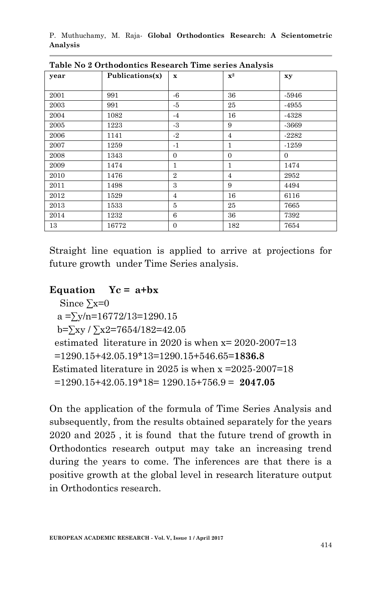P. Muthuchamy, M. Raja*-* **Global Orthodontics Research: A Scientometric Analysis**

| year | Publications(x) | $\mathbf x$    | $\mathbf{X}^2$ | xy       |
|------|-----------------|----------------|----------------|----------|
|      |                 |                |                |          |
| 2001 | 991             | $-6$           | 36             | $-5946$  |
| 2003 | 991             | -5             | 25             | -4955    |
| 2004 | 1082            | $-4$           | 16             | -4328    |
| 2005 | 1223            | $-3$           | 9              | $-3669$  |
| 2006 | 1141            | $-2$           | 4              | $-2282$  |
| 2007 | 1259            | $\cdot$ 1      | 1              | $-1259$  |
| 2008 | 1343            | $\overline{0}$ | $\mathbf{0}$   | $\Omega$ |
| 2009 | 1474            | 1              | $\mathbf{1}$   | 1474     |
| 2010 | 1476            | $\overline{2}$ | $\overline{4}$ | 2952     |
| 2011 | 1498            | 3              | 9              | 4494     |
| 2012 | 1529            | $\overline{4}$ | 16             | 6116     |
| 2013 | 1533            | 5              | 25             | 7665     |
| 2014 | 1232            | 6              | 36             | 7392     |
| 13   | 16772           | $\mathbf{0}$   | 182            | 7654     |

**Table No 2 Orthodontics Research Time series Analysis**

Straight line equation is applied to arrive at projections for future growth under Time Series analysis.

#### **Equation Yc = a+bx**

```
Since \Sigma x=0a = \sum y/n = 16772/13 = 1290.15b=\sum xy / \sum x^2 = 7654/182 = 42.05 estimated literature in 2020 is when x= 2020-2007=13
 =1290.15+42.05.19*13=1290.15+546.65=1836.8
Estimated literature in 2025 is when x = 2025-2007=18 =1290.15+42.05.19*18= 1290.15+756.9 = 2047.05
```
On the application of the formula of Time Series Analysis and subsequently, from the results obtained separately for the years 2020 and 2025 , it is found that the future trend of growth in Orthodontics research output may take an increasing trend during the years to come. The inferences are that there is a positive growth at the global level in research literature output in Orthodontics research.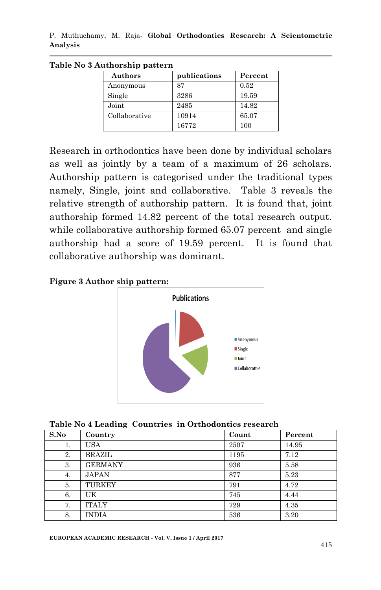P. Muthuchamy, M. Raja*-* **Global Orthodontics Research: A Scientometric Analysis**

| Authors       | publications | Percent |
|---------------|--------------|---------|
| Anonymous     | 87           | 0.52    |
| Single        | 3286         | 19.59   |
| Joint         | 2485         | 14.82   |
| Collaborative | 10914        | 65.07   |
|               | 16772        | 100     |

**Table No 3 Authorship pattern**

Research in orthodontics have been done by individual scholars as well as jointly by a team of a maximum of 26 scholars. Authorship pattern is categorised under the traditional types namely, Single, joint and collaborative. Table 3 reveals the relative strength of authorship pattern. It is found that, joint authorship formed 14.82 percent of the total research output. while collaborative authorship formed 65.07 percent and single authorship had a score of 19.59 percent. It is found that collaborative authorship was dominant.

**Figure 3 Author ship pattern:**





| S.No | Country        | Count | Percent |
|------|----------------|-------|---------|
| 1.   | <b>USA</b>     | 2507  | 14.95   |
| 2.   | <b>BRAZIL</b>  | 1195  | 7.12    |
| 3.   | <b>GERMANY</b> | 936   | 5.58    |
| 4.   | <b>JAPAN</b>   | 877   | 5.23    |
| 5.   | TURKEY         | 791   | 4.72    |
| 6.   | UK             | 745   | 4.44    |
| 7.   | <b>ITALY</b>   | 729   | 4.35    |
| 8.   | <b>INDIA</b>   | 536   | 3.20    |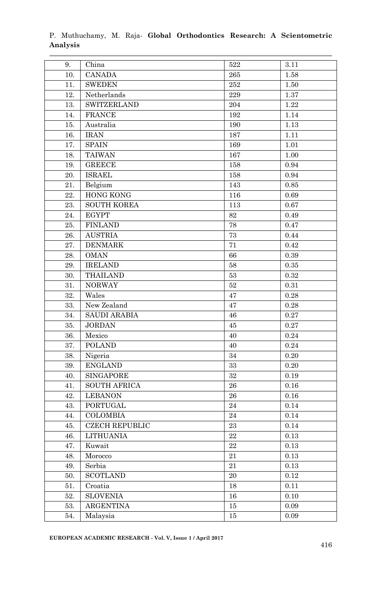| 9.  | China                 | 522 | 3.11       |
|-----|-----------------------|-----|------------|
| 10. | <b>CANADA</b>         | 265 | 1.58       |
| 11. | <b>SWEDEN</b>         | 252 | 1.50       |
| 12. | Netherlands           | 229 | 1.37       |
| 13. | <b>SWITZERLAND</b>    | 204 | 1.22       |
| 14. | <b>FRANCE</b>         | 192 | 1.14       |
| 15. | Australia             | 190 | 1.13       |
| 16. | IRAN                  | 187 | 1.11       |
| 17. | <b>SPAIN</b>          | 169 | 1.01       |
| 18. | <b>TAIWAN</b>         | 167 | 1.00       |
| 19. | <b>GREECE</b>         | 158 | 0.94       |
| 20. | <b>ISRAEL</b>         | 158 | 0.94       |
| 21. | Belgium               | 143 | 0.85       |
| 22. | <b>HONG KONG</b>      | 116 | 0.69       |
| 23. | <b>SOUTH KOREA</b>    | 113 | 0.67       |
| 24. | <b>EGYPT</b>          | 82  | 0.49       |
| 25. | <b>FINLAND</b>        | 78  | 0.47       |
| 26. | <b>AUSTRIA</b>        | 73  | 0.44       |
| 27. | <b>DENMARK</b>        | 71  | 0.42       |
| 28. | <b>OMAN</b>           | 66  | 0.39       |
| 29. | <b>IRELAND</b>        | 58  | 0.35       |
| 30. | <b>THAILAND</b>       | 53  | 0.32       |
| 31. | <b>NORWAY</b>         | 52  | 0.31       |
| 32. | Wales                 | 47  | 0.28       |
| 33. | New Zealand           | 47  | 0.28       |
| 34. | <b>SAUDI ARABIA</b>   | 46  | 0.27       |
| 35. | <b>JORDAN</b>         | 45  | 0.27       |
| 36. | Mexico                | 40  | 0.24       |
| 37. | <b>POLAND</b>         | 40  | 0.24       |
| 38. | Nigeria               | 34  | $0.20\,$   |
| 39. | <b>ENGLAND</b>        | 33  | 0.20       |
| 40. | <b>SINGAPORE</b>      | 32  | 0.19       |
| 41. | <b>SOUTH AFRICA</b>   | 26  | 0.16       |
| 42. | <b>LEBANON</b>        | 26  | 0.16       |
| 43. | <b>PORTUGAL</b>       | 24  | 0.14       |
| 44. | COLOMBIA              | 24  | 0.14       |
| 45. | <b>CZECH REPUBLIC</b> | 23  | 0.14       |
| 46. | <b>LITHUANIA</b>      | 22  | 0.13       |
| 47. | Kuwait                | 22  | $\rm 0.13$ |
| 48. | Morocco               | 21  | 0.13       |
| 49. | Serbia                | 21  | $\rm 0.13$ |
| 50. | <b>SCOTLAND</b>       | 20  | 0.12       |
| 51. | Croatia               | 18  | 0.11       |
| 52. | <b>SLOVENIA</b>       | 16  | 0.10       |
| 53. | <b>ARGENTINA</b>      | 15  | 0.09       |
| 54. | Malaysia              | 15  | $\rm 0.09$ |

#### P. Muthuchamy, M. Raja*-* **Global Orthodontics Research: A Scientometric Analysis**

**EUROPEAN ACADEMIC RESEARCH - Vol. V, Issue 1 / April 2017**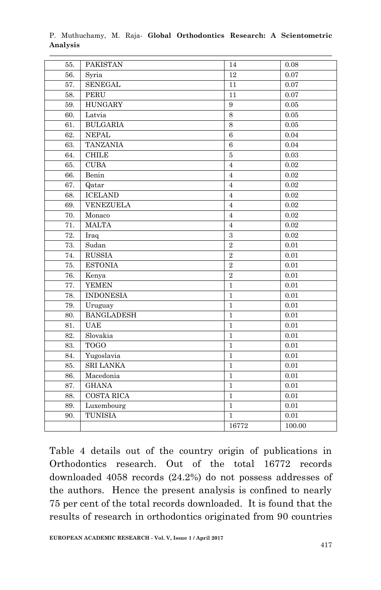| 55. | <b>PAKISTAN</b>   | 14               | 0.08   |
|-----|-------------------|------------------|--------|
| 56. | Syria             | 12               | 0.07   |
| 57. | <b>SENEGAL</b>    | 11               | 0.07   |
| 58. | <b>PERU</b>       | 11               | 0.07   |
| 59. | <b>HUNGARY</b>    | $\boldsymbol{9}$ | 0.05   |
| 60. | Latvia            | 8                | 0.05   |
| 61. | <b>BULGARIA</b>   | 8                | 0.05   |
| 62. | <b>NEPAL</b>      | 6                | 0.04   |
| 63. | <b>TANZANIA</b>   | 6                | 0.04   |
| 64. | <b>CHILE</b>      | $\bf 5$          | 0.03   |
| 65. | <b>CUBA</b>       | $\overline{4}$   | 0.02   |
| 66. | Benin             | $\overline{4}$   | 0.02   |
| 67. | Qatar             | $\overline{4}$   | 0.02   |
| 68. | <b>ICELAND</b>    | $\overline{4}$   | 0.02   |
| 69. | <b>VENEZUELA</b>  | $\overline{4}$   | 0.02   |
| 70. | Monaco            | $\overline{4}$   | 0.02   |
| 71. | <b>MALTA</b>      | $\overline{4}$   | 0.02   |
| 72. | Iraq              | 3                | 0.02   |
| 73. | Sudan             | $\overline{2}$   | 0.01   |
| 74. | <b>RUSSIA</b>     | $\overline{2}$   | 0.01   |
| 75. | <b>ESTONIA</b>    | $\overline{2}$   | 0.01   |
| 76. | Kenya             | $\overline{2}$   | 0.01   |
| 77. | <b>YEMEN</b>      | $\mathbf{1}$     | 0.01   |
| 78. | <b>INDONESIA</b>  | $\mathbf{1}$     | 0.01   |
| 79. | Uruguay           | $\mathbf{1}$     | 0.01   |
| 80. | <b>BANGLADESH</b> | $\mathbf{1}$     | 0.01   |
| 81. | <b>UAE</b>        | $\mathbf{1}$     | 0.01   |
| 82. | Slovakia          | $\mathbf{1}$     | 0.01   |
| 83. | <b>TOGO</b>       | $\mathbf{1}$     | 0.01   |
| 84. | Yugoslavia        | $\mathbf{1}$     | 0.01   |
| 85. | <b>SRI LANKA</b>  | $\,1\,$          | 0.01   |
| 86. | Macedonia         | $\mathbf{1}$     | 0.01   |
| 87. | <b>GHANA</b>      | $\mathbf{1}$     | 0.01   |
| 88. | <b>COSTA RICA</b> | $\mathbf{1}$     | 0.01   |
| 89. | Luxembourg        | $\mathbf{1}$     | 0.01   |
| 90. | <b>TUNISIA</b>    | $\mathbf{1}$     | 0.01   |
|     |                   | 16772            | 100.00 |

P. Muthuchamy, M. Raja*-* **Global Orthodontics Research: A Scientometric Analysis**

Table 4 details out of the country origin of publications in Orthodontics research. Out of the total 16772 records downloaded 4058 records (24.2%) do not possess addresses of the authors. Hence the present analysis is confined to nearly 75 per cent of the total records downloaded. It is found that the results of research in orthodontics originated from 90 countries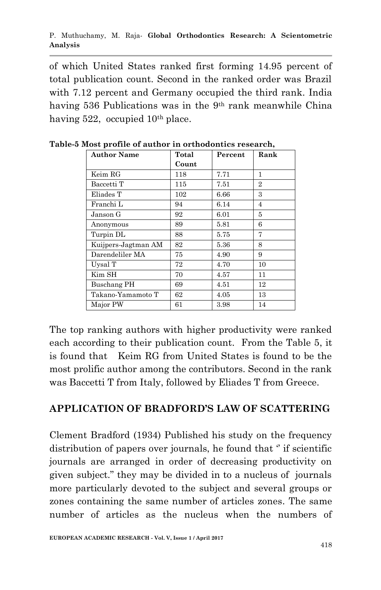of which United States ranked first forming 14.95 percent of total publication count. Second in the ranked order was Brazil with 7.12 percent and Germany occupied the third rank. India having 536 Publications was in the 9<sup>th</sup> rank meanwhile China having 522, occupied 10<sup>th</sup> place.

| <b>Author Name</b>  | Total | Percent | Rank           |
|---------------------|-------|---------|----------------|
|                     | Count |         |                |
| Keim RG             | 118   | 7.71    | 1              |
| Baccetti T          | 115   | 7.51    | $\overline{2}$ |
| Eliades T           | 102   | 6.66    | 3              |
| Franchi L           | 94    | 6.14    | 4              |
| Janson G            | 92    | 6.01    | 5              |
| Anonymous           | 89    | 5.81    | 6              |
| Turpin DL           | 88    | 5.75    | 7              |
| Kuijpers-Jagtman AM | 82    | 5.36    | 8              |
| Darendeliler MA     | 75    | 4.90    | 9              |
| Uysal T             | 72    | 4.70    | 10             |
| Kim SH              | 70    | 4.57    | 11             |
| Buschang PH         | 69    | 4.51    | 12             |
| Takano-Yamamoto T   | 62    | 4.05    | 13             |
| Major PW            | 61    | 3.98    | 14             |

**Table-5 Most profile of author in orthodontics research,**

The top ranking authors with higher productivity were ranked each according to their publication count. From the Table 5, it is found that Keim RG from United States is found to be the most prolific author among the contributors. Second in the rank was Baccetti T from Italy, followed by Eliades T from Greece.

## **APPLICATION OF BRADFORD'S LAW OF SCATTERING**

Clement Bradford (1934) Published his study on the frequency distribution of papers over journals, he found that  $\degree$  if scientific journals are arranged in order of decreasing productivity on given subject." they may be divided in to a nucleus of journals more particularly devoted to the subject and several groups or zones containing the same number of articles zones. The same number of articles as the nucleus when the numbers of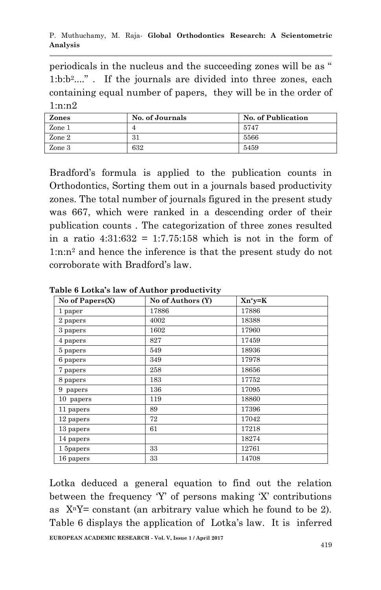P. Muthuchamy, M. Raja*-* **Global Orthodontics Research: A Scientometric Analysis**

periodicals in the nucleus and the succeeding zones will be as " 1:b:b<sup>2</sup>...." . If the journals are divided into three zones, each containing equal number of papers, they will be in the order of 1:n:n2

| Zones  | No. of Journals | No. of Publication |
|--------|-----------------|--------------------|
| Zone 1 |                 | 5747               |
| Zone 2 | $^{0}$<br>oт    | 5566               |
| Zone 3 | 632             | 5459               |

Bradford"s formula is applied to the publication counts in Orthodontics, Sorting them out in a journals based productivity zones. The total number of journals figured in the present study was 667, which were ranked in a descending order of their publication counts . The categorization of three zones resulted in a ratio  $4:31:632 = 1:7.75:158$  which is not in the form of 1:n:n<sup>2</sup> and hence the inference is that the present study do not corroborate with Bradford"s law.

| No of Papers(X) | No of Authors (Y) | $Xn^*y=K$ |
|-----------------|-------------------|-----------|
| 1 paper         | 17886             | 17886     |
| 2 papers        | 4002              | 18388     |
| 3 papers        | 1602              | 17960     |
| 4 papers        | 827               | 17459     |
| 5 papers        | 549               | 18936     |
| 6 papers        | 349               | 17978     |
| 7 papers        | 258               | 18656     |
| 8 papers        | 183               | 17752     |
| 9 papers        | 136               | 17095     |
| 10 papers       | 119               | 18860     |
| 11 papers       | 89                | 17396     |
| 12 papers       | 72                | 17042     |
| 13 papers       | 61                | 17218     |
| 14 papers       |                   | 18274     |
| 1 5papers       | 33                | 12761     |
| 16 papers       | 33                | 14708     |

**Table 6 Lotka's law of Author productivity**

Lotka deduced a general equation to find out the relation between the frequency 'Y' of persons making 'X' contributions as  $X<sup>n</sup>Y= constant (an arbitrary value which he found to be 2).$ Table 6 displays the application of Lotka's law. It is inferred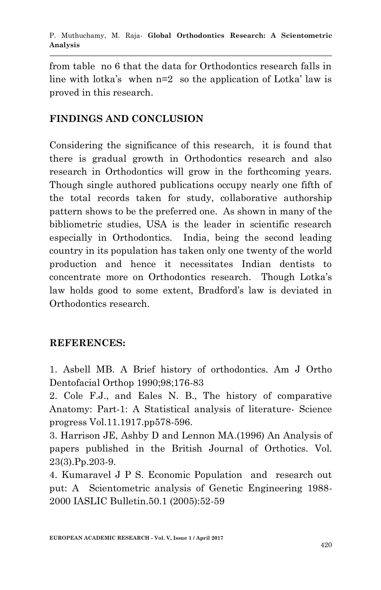from table no 6 that the data for Orthodontics research falls in line with lotka's when  $n=2$  so the application of Lotka' law is proved in this research.

# **FINDINGS AND CONCLUSION**

Considering the significance of this research, it is found that there is gradual growth in Orthodontics research and also research in Orthodontics will grow in the forthcoming years. Though single authored publications occupy nearly one fifth of the total records taken for study, collaborative authorship pattern shows to be the preferred one. As shown in many of the bibliometric studies, USA is the leader in scientific research especially in Orthodontics. India, being the second leading country in its population has taken only one twenty of the world production and hence it necessitates Indian dentists to concentrate more on Orthodontics research. Though Lotka"s law holds good to some extent, Bradford"s law is deviated in Orthodontics research.

## **REFERENCES:**

1. Asbell MB. A Brief history of orthodontics. Am J Ortho Dentofacial Orthop 1990;98;176-83

2. Cole F.J., and Eales N. B., The history of comparative Anatomy: Part-1: A Statistical analysis of literature- Science progress Vol.11.1917.pp578-596.

3. Harrison JE, Ashby D and Lennon MA.(1996) An Analysis of papers published in the British Journal of Orthotics. Vol. 23(3).Pp.203-9.

4. Kumaravel J P S. Economic Population and research out put: A Scientometric analysis of Genetic Engineering 1988- 2000 IASLIC Bulletin.50.1 (2005):52-59